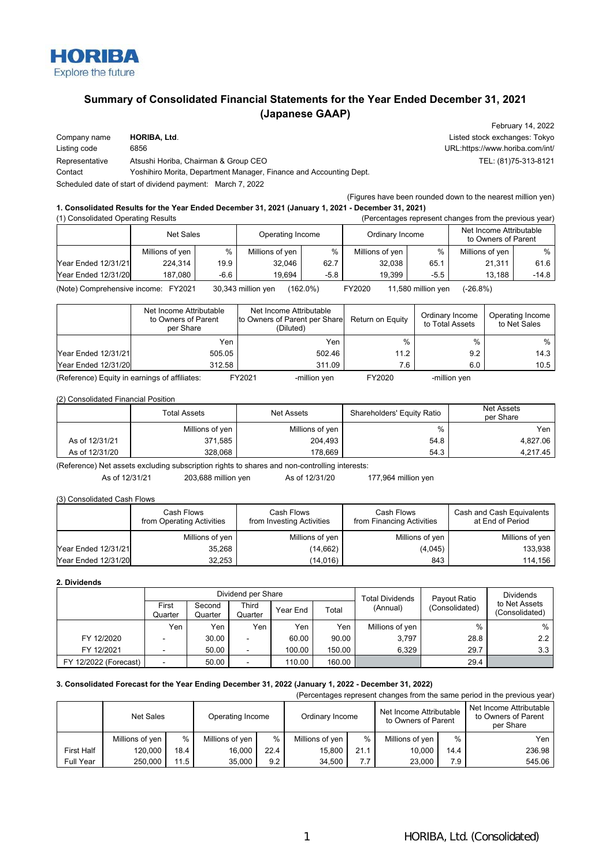

# **Summary of Consolidated Financial Statements for the Year Ended December 31, 2021 (Japanese GAAP)**

| Company name   | <b>HORIBA, Ltd.</b>                                                |
|----------------|--------------------------------------------------------------------|
| Listing code   | 6856                                                               |
| Representative | Atsushi Horiba, Chairman & Group CEO                               |
| Contact        | Yoshihiro Morita, Department Manager, Finance and Accounting Dept. |
|                | Scheduled date of start of dividend payment: March 7, 2022         |

February 14, 2022 Listed stock exchanges: Tokyo URL:https://www.horiba.com/int/ TEL: (81)75-313-8121

#### (Figures have been rounded down to the nearest million yen) **1. Consolidated Results for the Year Ended December 31, 2021 (January 1, 2021 - December 31, 2021)**

| (1) Consolidated Operating Results<br>(Percentages represent changes from the previous year) |                 |        |                  |      |                 |        |                                                |         |
|----------------------------------------------------------------------------------------------|-----------------|--------|------------------|------|-----------------|--------|------------------------------------------------|---------|
|                                                                                              | Net Sales       |        | Operating Income |      | Ordinary Income |        | Net Income Attributable<br>to Owners of Parent |         |
|                                                                                              | Millions of yen | $\%$   | Millions of yen  | %    | Millions of yen | %      | Millions of yen                                | %       |
| <b>Year Ended 12/31/21</b>                                                                   | 224.314         | 19.9   | 32.046           | 62.7 | 32.038          | 65.1   | 21,311                                         | 61.6    |
| Year Ended 12/31/20                                                                          | 187.080         | $-6.6$ | 19.694           | -5.8 | 19.399          | $-5.5$ | 13.188                                         | $-14.8$ |

(Note) Comprehensive income: FY2021 30,343 million yen (162.0%) FY2020 11,580 million yen (-26.8%)

|                                    | Net Income Attributable<br>to Owners of Parent<br>per Share | Net Income Attributable<br>to Owners of Parent per Share<br>(Diluted) | Return on Equity | Ordinary Income<br>to Total Assets | Operating Income<br>to Net Sales |
|------------------------------------|-------------------------------------------------------------|-----------------------------------------------------------------------|------------------|------------------------------------|----------------------------------|
|                                    | Yen                                                         | Yen                                                                   | $\%$             | $\frac{0}{0}$                      | $\%$                             |
| Year Ended 12/31/21                | 505.05                                                      | 502.46                                                                | 11.2             | 9.2                                | 14.3                             |
| Year Ended 12/31/20                | 312.58                                                      | 311.09                                                                | 7.6              | 6.0                                | 10.5                             |
| $\sim$ $\sim$<br>$\cdots$ $\cdots$ | - ---- -                                                    | -------<br>                                                           | -------          |                                    |                                  |

(Reference) Equity in earnings of affiliates: FY2021 -million yen FY2020 -million yen

#### (2) Consolidated Financial Position

|                | <b>Total Assets</b> | Shareholders' Equity Ratio<br>Net Assets |      | Net Assets<br>per Share |
|----------------|---------------------|------------------------------------------|------|-------------------------|
|                | Millions of yen     | Millions of yen                          | %    | Yen,                    |
| As of 12/31/21 | 371,585             | 204.493                                  | 54.8 | 4.827.06                |
| As of 12/31/20 | 328.068             | 178.669                                  | 54.3 | 4,217.45                |

(Reference) Net assets excluding subscription rights to shares and non-controlling interests:

As of 12/31/21 203,688 million yen As of 12/31/20 177,964 million yen

#### (3) Consolidated Cash Flows

|                            | Cash Flows<br>from Operating Activities | Cash Flows<br>from Investing Activities | Cash Flows<br>from Financing Activities | Cash and Cash Equivalents<br>at End of Period |
|----------------------------|-----------------------------------------|-----------------------------------------|-----------------------------------------|-----------------------------------------------|
|                            | Millions of yen                         | Millions of yen                         | Millions of yen                         | Millions of yen                               |
| <b>Year Ended 12/31/21</b> | 35,268                                  | (14,662)                                | (4,045)                                 | 133.938                                       |
| Year Ended 12/31/20        | 32.253                                  | (14, 016)                               | 843                                     | 114.156                                       |

#### **2. Dividends**

|                       | Dividend per Share |                   |                          |          | <b>Total Dividends</b> | Payout Ratio    | <b>Dividends</b> |                                 |
|-----------------------|--------------------|-------------------|--------------------------|----------|------------------------|-----------------|------------------|---------------------------------|
|                       | First<br>Quarter   | Second<br>Quarter | <b>Third</b><br>Quarter  | Year End | Total                  | (Annual)        | (Consolidated)   | to Net Assets<br>(Consolidated) |
|                       | Yen                | Yen               | Yen                      | Yen      | Yen                    | Millions of yen | $\%$             | %                               |
| FY 12/2020            | -                  | 30.00             | -                        | 60.00    | 90.00                  | 3.797           | 28.8             | 2.2                             |
| FY 12/2021            | ۰.                 | 50.00             | $\overline{\phantom{0}}$ | 100.00   | 150.00                 | 6.329           | 29.7             | 3.3                             |
| FY 12/2022 (Forecast) |                    | 50.00             | -                        | 110.00   | 160.00                 |                 | 29.4             |                                 |

#### **3. Consolidated Forecast for the Year Ending December 31, 2022 (January 1, 2022 - December 31, 2022)**

|                   |                 |      |                  |      |                 |      |                                                |      | (Percentages represent changes from the same period in the previous year) |
|-------------------|-----------------|------|------------------|------|-----------------|------|------------------------------------------------|------|---------------------------------------------------------------------------|
|                   | Net Sales       |      | Operating Income |      | Ordinary Income |      | Net Income Attributable<br>to Owners of Parent |      | Net Income Attributable<br>to Owners of Parent<br>per Share               |
|                   | Millions of yen | $\%$ | Millions of yen  | $\%$ | Millions of yen | $\%$ | Millions of ven                                | $\%$ | Yen                                                                       |
| <b>First Half</b> | 120.000         | 18.4 | 16.000           | 22.4 | 15.800          | 21.1 | 10.000                                         | 14.4 | 236.98                                                                    |
| Full Year         | 250.000         | 11.5 | 35.000           | 9.2  | 34.500          | 7.7  | 23.000                                         | 7.9  | 545.06                                                                    |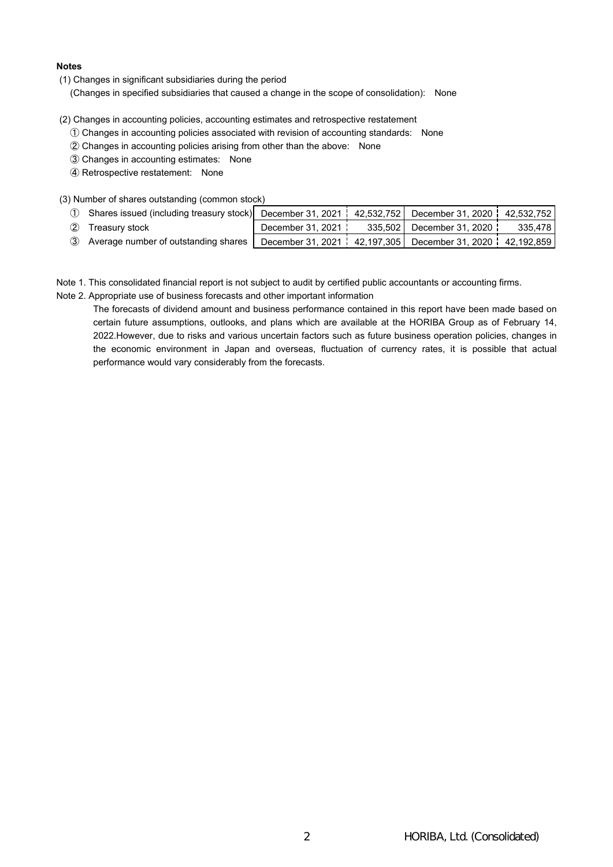## **Notes**

(1) Changes in significant subsidiaries during the period

(Changes in specified subsidiaries that caused a change in the scope of consolidation): None

- (2) Changes in accounting policies, accounting estimates and retrospective restatement
	- ① Changes in accounting policies associated with revision of accounting standards: None
	- ② Changes in accounting policies arising from other than the above: None
	- ③ Changes in accounting estimates: None
	- ④ Retrospective restatement: None
- (3) Number of shares outstanding (common stock)

| 1 Shares issued (including treasury stock) December 31, 2021   42,532,752   December 31, 2020   42,532,752 |                   |                                                                     |         |
|------------------------------------------------------------------------------------------------------------|-------------------|---------------------------------------------------------------------|---------|
| 2 Treasury stock                                                                                           | December 31, 2021 | 335.502 December 31, 2020 l                                         | 335.478 |
| 3 Average number of outstanding shares                                                                     |                   | December 31, 2021   42, 197, 305   December 31, 2020   42, 192, 859 |         |

Note 1. This consolidated financial report is not subject to audit by certified public accountants or accounting firms.

Note 2. Appropriate use of business forecasts and other important information

The forecasts of dividend amount and business performance contained in this report have been made based on certain future assumptions, outlooks, and plans which are available at the HORIBA Group as of February 14, 2022.However, due to risks and various uncertain factors such as future business operation policies, changes in the economic environment in Japan and overseas, fluctuation of currency rates, it is possible that actual performance would vary considerably from the forecasts.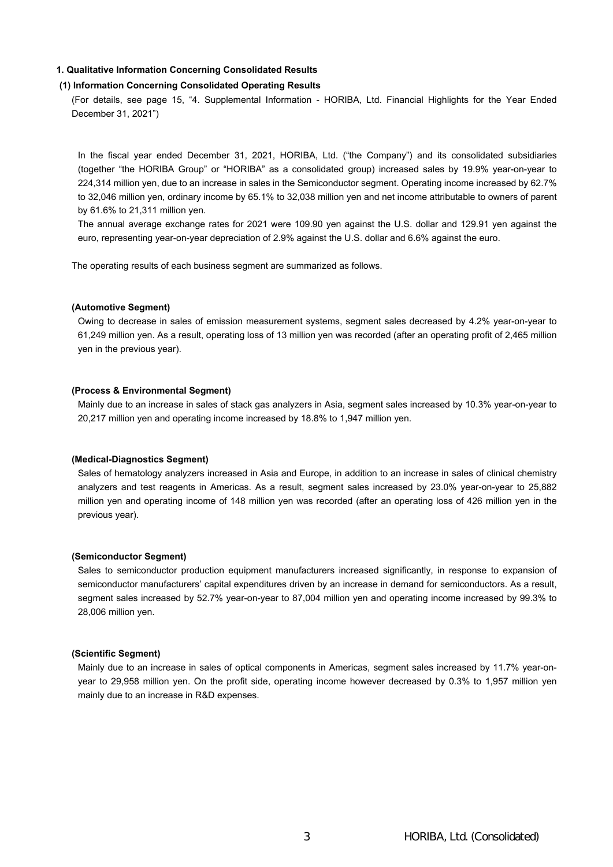## **1. Qualitative Information Concerning Consolidated Results**

# **(1) Information Concerning Consolidated Operating Results**

(For details, see page 15, "4. Supplemental Information - HORIBA, Ltd. Financial Highlights for the Year Ended December 31, 2021")

In the fiscal year ended December 31, 2021, HORIBA, Ltd. ("the Company") and its consolidated subsidiaries (together "the HORIBA Group" or "HORIBA" as a consolidated group) increased sales by 19.9% year-on-year to 224,314 million yen, due to an increase in sales in the Semiconductor segment. Operating income increased by 62.7% to 32,046 million yen, ordinary income by 65.1% to 32,038 million yen and net income attributable to owners of parent by 61.6% to 21,311 million yen.

The annual average exchange rates for 2021 were 109.90 yen against the U.S. dollar and 129.91 yen against the euro, representing year-on-year depreciation of 2.9% against the U.S. dollar and 6.6% against the euro.

The operating results of each business segment are summarized as follows.

#### **(Automotive Segment)**

Owing to decrease in sales of emission measurement systems, segment sales decreased by 4.2% year-on-year to 61,249 million yen. As a result, operating loss of 13 million yen was recorded (after an operating profit of 2,465 million yen in the previous year).

### **(Process & Environmental Segment)**

Mainly due to an increase in sales of stack gas analyzers in Asia, segment sales increased by 10.3% year-on-year to 20,217 million yen and operating income increased by 18.8% to 1,947 million yen.

#### **(Medical-Diagnostics Segment)**

Sales of hematology analyzers increased in Asia and Europe, in addition to an increase in sales of clinical chemistry analyzers and test reagents in Americas. As a result, segment sales increased by 23.0% year-on-year to 25,882 million yen and operating income of 148 million yen was recorded (after an operating loss of 426 million yen in the previous year).

## **(Semiconductor Segment)**

Sales to semiconductor production equipment manufacturers increased significantly, in response to expansion of semiconductor manufacturers' capital expenditures driven by an increase in demand for semiconductors. As a result, segment sales increased by 52.7% year-on-year to 87,004 million yen and operating income increased by 99.3% to 28,006 million yen.

#### **(Scientific Segment)**

Mainly due to an increase in sales of optical components in Americas, segment sales increased by 11.7% year-onyear to 29,958 million yen. On the profit side, operating income however decreased by 0.3% to 1,957 million yen mainly due to an increase in R&D expenses.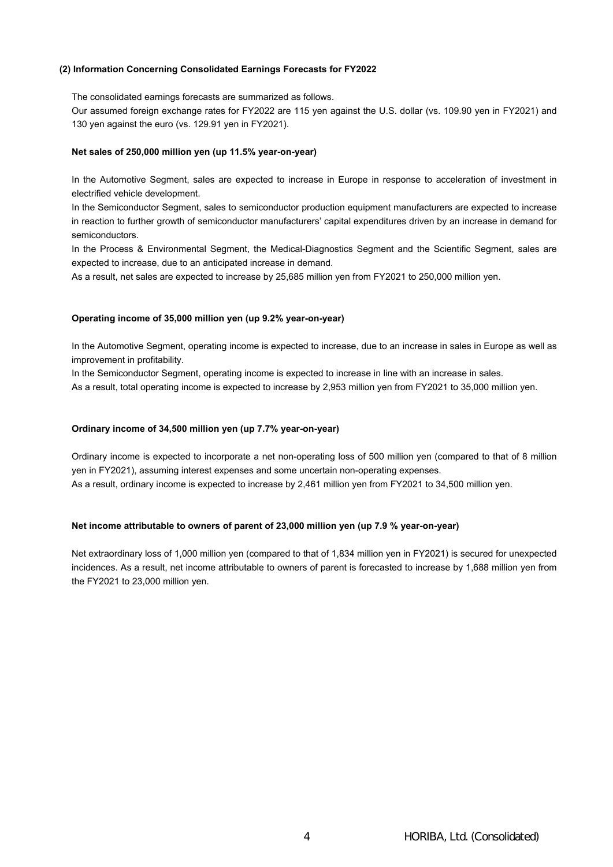## **(2) Information Concerning Consolidated Earnings Forecasts for FY2022**

The consolidated earnings forecasts are summarized as follows.

Our assumed foreign exchange rates for FY2022 are 115 yen against the U.S. dollar (vs. 109.90 yen in FY2021) and 130 yen against the euro (vs. 129.91 yen in FY2021).

#### **Net sales of 250,000 million yen (up 11.5% year-on-year)**

In the Automotive Segment, sales are expected to increase in Europe in response to acceleration of investment in electrified vehicle development.

In the Semiconductor Segment, sales to semiconductor production equipment manufacturers are expected to increase in reaction to further growth of semiconductor manufacturers' capital expenditures driven by an increase in demand for semiconductors.

In the Process & Environmental Segment, the Medical-Diagnostics Segment and the Scientific Segment, sales are expected to increase, due to an anticipated increase in demand.

As a result, net sales are expected to increase by 25,685 million yen from FY2021 to 250,000 million yen.

#### **Operating income of 35,000 million yen (up 9.2% year-on-year)**

In the Automotive Segment, operating income is expected to increase, due to an increase in sales in Europe as well as improvement in profitability.

In the Semiconductor Segment, operating income is expected to increase in line with an increase in sales.

As a result, total operating income is expected to increase by 2,953 million yen from FY2021 to 35,000 million yen.

#### **Ordinary income of 34,500 million yen (up 7.7% year-on-year)**

Ordinary income is expected to incorporate a net non-operating loss of 500 million yen (compared to that of 8 million yen in FY2021), assuming interest expenses and some uncertain non-operating expenses. As a result, ordinary income is expected to increase by 2,461 million yen from FY2021 to 34,500 million yen.

#### **Net income attributable to owners of parent of 23,000 million yen (up 7.9 % year-on-year)**

Net extraordinary loss of 1,000 million yen (compared to that of 1,834 million yen in FY2021) is secured for unexpected incidences. As a result, net income attributable to owners of parent is forecasted to increase by 1,688 million yen from the FY2021 to 23,000 million yen.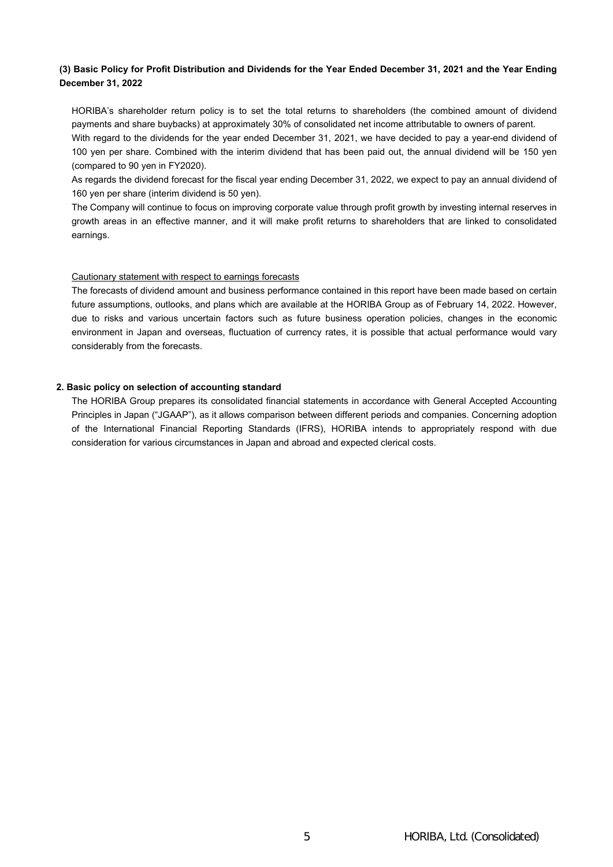# (3) Basic Policy for Profit Distribution and Dividends for the Year Ended December 31, 2021 and the Year Ending **December 31, 2022**

HORIBA's shareholder return policy is to set the total returns to shareholders (the combined amount of dividend payments and share buybacks) at approximately 30% of consolidated net income attributable to owners of parent. With regard to the dividends for the year ended December 31, 2021, we have decided to pay a year-end dividend of 100 yen per share. Combined with the interim dividend that has been paid out, the annual dividend will be 150 yen (compared to 90 yen in FY2020).

As regards the dividend forecast for the fiscal year ending December 31, 2022, we expect to pay an annual dividend of 160 yen per share (interim dividend is 50 yen).

The Company will continue to focus on improving corporate value through profit growth by investing internal reserves in growth areas in an effective manner, and it will make profit returns to shareholders that are linked to consolidated earnings.

## Cautionary statement with respect to earnings forecasts

The forecasts of dividend amount and business performance contained in this report have been made based on certain future assumptions, outlooks, and plans which are available at the HORIBA Group as of February 14, 2022. However, due to risks and various uncertain factors such as future business operation policies, changes in the economic environment in Japan and overseas, fluctuation of currency rates, it is possible that actual performance would vary considerably from the forecasts.

## **2. Basic policy on selection of accounting standard**

The HORIBA Group prepares its consolidated financial statements in accordance with General Accepted Accounting Principles in Japan ("JGAAP"), as it allows comparison between different periods and companies. Concerning adoption of the International Financial Reporting Standards (IFRS), HORIBA intends to appropriately respond with due consideration for various circumstances in Japan and abroad and expected clerical costs.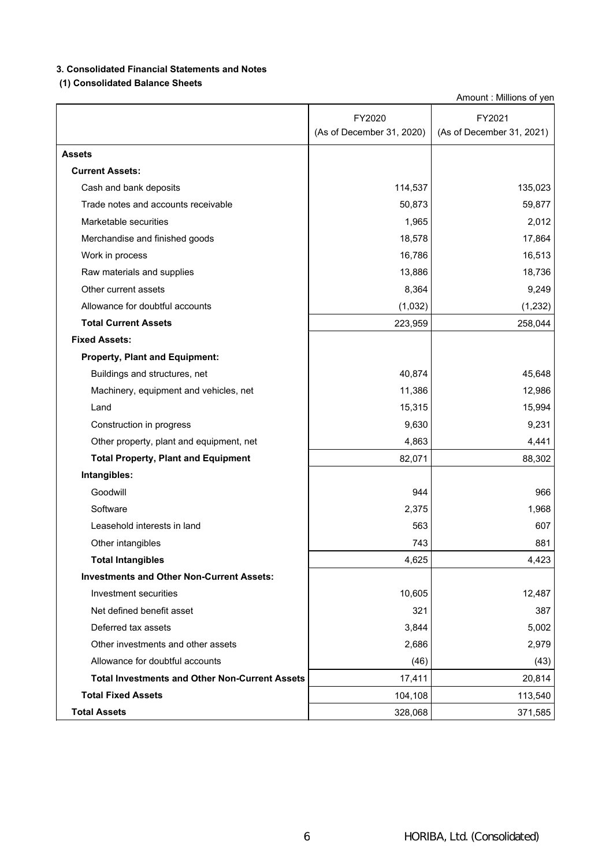# **3. Consolidated Financial Statements and Notes**

# **(1) Consolidated Balance Sheets**

|                                                       | FY2020                    | FY2021                    |
|-------------------------------------------------------|---------------------------|---------------------------|
|                                                       | (As of December 31, 2020) | (As of December 31, 2021) |
| <b>Assets</b>                                         |                           |                           |
| <b>Current Assets:</b>                                |                           |                           |
| Cash and bank deposits                                | 114,537                   | 135,023                   |
| Trade notes and accounts receivable                   | 50,873                    | 59,877                    |
| Marketable securities                                 | 1,965                     | 2,012                     |
| Merchandise and finished goods                        | 18,578                    | 17,864                    |
| Work in process                                       | 16,786                    | 16,513                    |
| Raw materials and supplies                            | 13,886                    | 18,736                    |
| Other current assets                                  | 8,364                     | 9,249                     |
| Allowance for doubtful accounts                       | (1,032)                   | (1, 232)                  |
| <b>Total Current Assets</b>                           | 223,959                   | 258,044                   |
| <b>Fixed Assets:</b>                                  |                           |                           |
| <b>Property, Plant and Equipment:</b>                 |                           |                           |
| Buildings and structures, net                         | 40,874                    | 45,648                    |
| Machinery, equipment and vehicles, net                | 11,386                    | 12,986                    |
| Land                                                  | 15,315                    | 15,994                    |
| Construction in progress                              | 9,630                     | 9,231                     |
| Other property, plant and equipment, net              | 4,863                     | 4,441                     |
| <b>Total Property, Plant and Equipment</b>            | 82,071                    | 88,302                    |
| Intangibles:                                          |                           |                           |
| Goodwill                                              | 944                       | 966                       |
| Software                                              | 2,375                     | 1,968                     |
| Leasehold interests in land                           | 563                       | 607                       |
| Other intangibles                                     | 743                       | 881                       |
| <b>Total Intangibles</b>                              | 4,625                     | 4,423                     |
| <b>Investments and Other Non-Current Assets:</b>      |                           |                           |
| Investment securities                                 | 10,605                    | 12,487                    |
| Net defined benefit asset                             | 321                       | 387                       |
| Deferred tax assets                                   | 3,844                     | 5,002                     |
| Other investments and other assets                    | 2,686                     | 2,979                     |
| Allowance for doubtful accounts                       | (46)                      | (43)                      |
| <b>Total Investments and Other Non-Current Assets</b> | 17,411                    | 20,814                    |
| <b>Total Fixed Assets</b>                             | 104,108                   | 113,540                   |
| <b>Total Assets</b>                                   | 328,068                   | 371,585                   |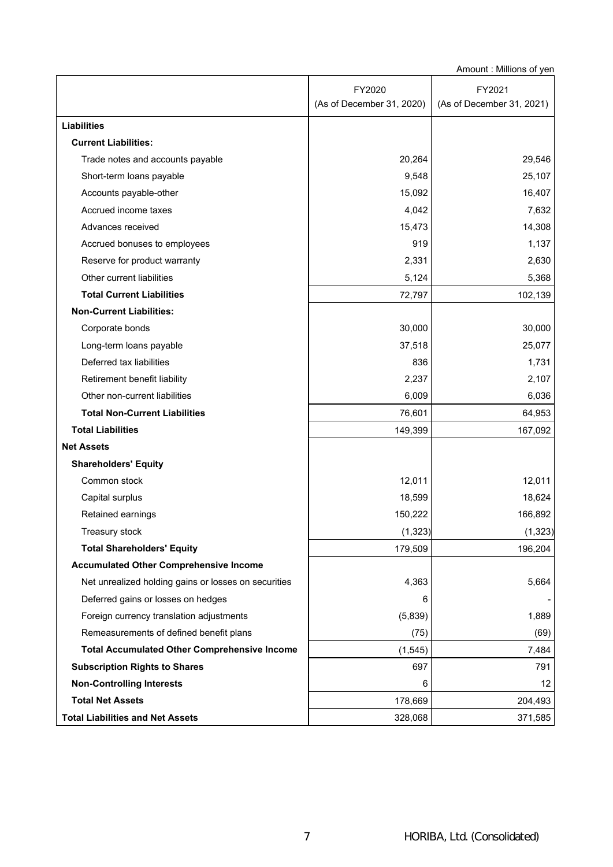|                                                      | FY2020                    | FY2021                    |
|------------------------------------------------------|---------------------------|---------------------------|
|                                                      | (As of December 31, 2020) | (As of December 31, 2021) |
| <b>Liabilities</b>                                   |                           |                           |
| <b>Current Liabilities:</b>                          |                           |                           |
| Trade notes and accounts payable                     | 20,264                    | 29,546                    |
| Short-term loans payable                             | 9,548                     | 25,107                    |
| Accounts payable-other                               | 15,092                    | 16,407                    |
| Accrued income taxes                                 | 4,042                     | 7,632                     |
| Advances received                                    | 15,473                    | 14,308                    |
| Accrued bonuses to employees                         | 919                       | 1,137                     |
| Reserve for product warranty                         | 2,331                     | 2,630                     |
| Other current liabilities                            | 5,124                     | 5,368                     |
| <b>Total Current Liabilities</b>                     | 72,797                    | 102,139                   |
| <b>Non-Current Liabilities:</b>                      |                           |                           |
| Corporate bonds                                      | 30,000                    | 30,000                    |
| Long-term loans payable                              | 37,518                    | 25,077                    |
| Deferred tax liabilities                             | 836                       | 1,731                     |
| Retirement benefit liability                         | 2,237                     | 2,107                     |
| Other non-current liabilities                        | 6,009                     | 6,036                     |
| <b>Total Non-Current Liabilities</b>                 | 76,601                    | 64,953                    |
| <b>Total Liabilities</b>                             | 149,399                   | 167,092                   |
| <b>Net Assets</b>                                    |                           |                           |
| <b>Shareholders' Equity</b>                          |                           |                           |
| Common stock                                         | 12,011                    | 12,011                    |
| Capital surplus                                      | 18,599                    | 18,624                    |
| Retained earnings                                    | 150,222                   | 166,892                   |
| Treasury stock                                       | (1, 323)                  | (1, 323)                  |
| <b>Total Shareholders' Equity</b>                    | 179,509                   | 196,204                   |
| <b>Accumulated Other Comprehensive Income</b>        |                           |                           |
| Net unrealized holding gains or losses on securities | 4,363                     | 5,664                     |
| Deferred gains or losses on hedges                   | 6                         |                           |
| Foreign currency translation adjustments             | (5,839)                   | 1,889                     |
| Remeasurements of defined benefit plans              | (75)                      | (69)                      |
| <b>Total Accumulated Other Comprehensive Income</b>  | (1, 545)                  | 7,484                     |
| <b>Subscription Rights to Shares</b>                 | 697                       | 791                       |
| <b>Non-Controlling Interests</b>                     | 6                         | 12                        |
| <b>Total Net Assets</b>                              | 178,669                   | 204,493                   |
| <b>Total Liabilities and Net Assets</b>              | 328,068                   | 371,585                   |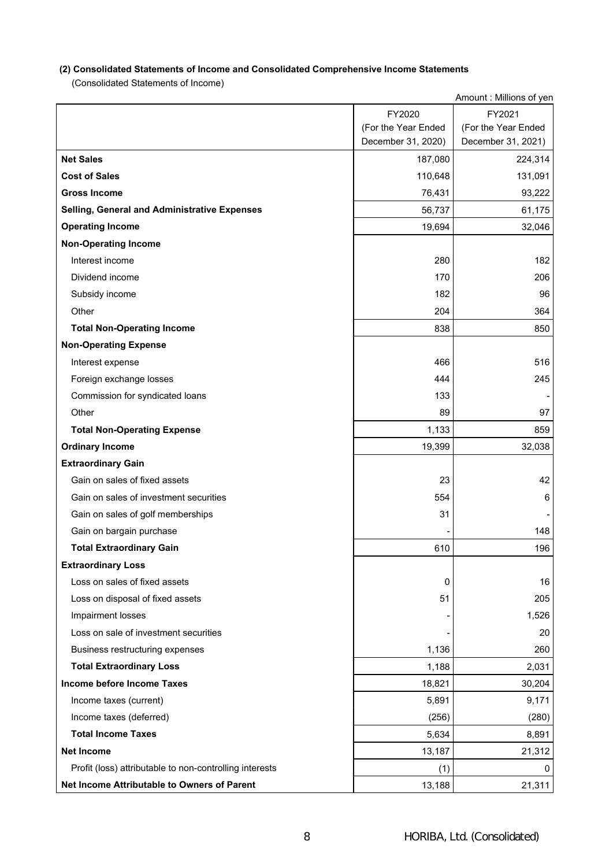# **(2) Consolidated Statements of Income and Consolidated Comprehensive Income Statements**

(Consolidated Statements of Income)

|                                                         |                     | Amount: Millions of yen |
|---------------------------------------------------------|---------------------|-------------------------|
|                                                         | FY2020              | FY2021                  |
|                                                         | (For the Year Ended | (For the Year Ended     |
|                                                         | December 31, 2020)  | December 31, 2021)      |
| <b>Net Sales</b>                                        | 187,080             | 224,314                 |
| <b>Cost of Sales</b>                                    | 110,648             | 131,091                 |
| <b>Gross Income</b>                                     | 76,431              | 93,222                  |
| <b>Selling, General and Administrative Expenses</b>     | 56,737              | 61,175                  |
| <b>Operating Income</b>                                 | 19,694              | 32,046                  |
| <b>Non-Operating Income</b>                             |                     |                         |
| Interest income                                         | 280                 | 182                     |
| Dividend income                                         | 170                 | 206                     |
| Subsidy income                                          | 182                 | 96                      |
| Other                                                   | 204                 | 364                     |
| <b>Total Non-Operating Income</b>                       | 838                 | 850                     |
| <b>Non-Operating Expense</b>                            |                     |                         |
| Interest expense                                        | 466                 | 516                     |
| Foreign exchange losses                                 | 444                 | 245                     |
| Commission for syndicated loans                         | 133                 |                         |
| Other                                                   | 89                  | 97                      |
| <b>Total Non-Operating Expense</b>                      | 1,133               | 859                     |
| <b>Ordinary Income</b>                                  | 19,399              | 32,038                  |
| <b>Extraordinary Gain</b>                               |                     |                         |
| Gain on sales of fixed assets                           | 23                  | 42                      |
| Gain on sales of investment securities                  | 554                 | 6                       |
| Gain on sales of golf memberships                       | 31                  |                         |
| Gain on bargain purchase                                |                     | 148                     |
| <b>Total Extraordinary Gain</b>                         | 610                 | 196                     |
| <b>Extraordinary Loss</b>                               |                     |                         |
| Loss on sales of fixed assets                           | 0                   | 16                      |
| Loss on disposal of fixed assets                        | 51                  | 205                     |
| Impairment losses                                       |                     | 1,526                   |
| Loss on sale of investment securities                   |                     | 20                      |
| Business restructuring expenses                         | 1,136               | 260                     |
| <b>Total Extraordinary Loss</b>                         | 1,188               | 2,031                   |
| Income before Income Taxes                              | 18,821              | 30,204                  |
| Income taxes (current)                                  | 5,891               | 9,171                   |
| Income taxes (deferred)                                 | (256)               | (280)                   |
| <b>Total Income Taxes</b>                               | 5,634               | 8,891                   |
| <b>Net Income</b>                                       | 13,187              | 21,312                  |
| Profit (loss) attributable to non-controlling interests | (1)                 | 0                       |
| Net Income Attributable to Owners of Parent             | 13,188              | 21,311                  |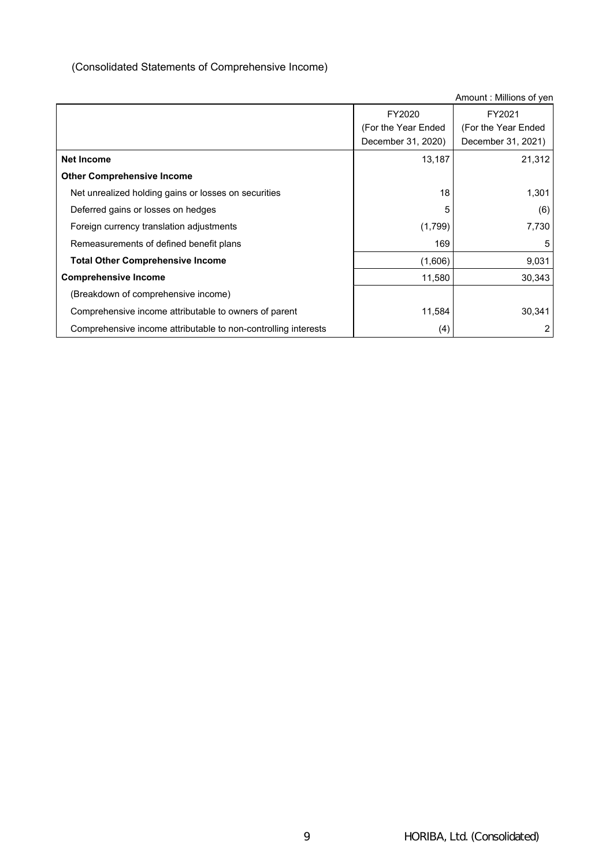# (Consolidated Statements of Comprehensive Income)

|                                                                | FY2020              | FY2021               |
|----------------------------------------------------------------|---------------------|----------------------|
|                                                                | (For the Year Ended | (For the Year Ended) |
|                                                                | December 31, 2020)  | December 31, 2021)   |
| <b>Net Income</b>                                              | 13,187              | 21,312               |
| <b>Other Comprehensive Income</b>                              |                     |                      |
| Net unrealized holding gains or losses on securities           | 18                  | 1,301                |
| Deferred gains or losses on hedges                             | 5                   | (6)                  |
| Foreign currency translation adjustments                       | (1,799)             | 7,730                |
| Remeasurements of defined benefit plans                        | 169                 | 5                    |
| <b>Total Other Comprehensive Income</b>                        | (1,606)             | 9,031                |
| <b>Comprehensive Income</b>                                    | 11,580              | 30,343               |
| (Breakdown of comprehensive income)                            |                     |                      |
| Comprehensive income attributable to owners of parent          | 11,584              | 30,341               |
| Comprehensive income attributable to non-controlling interests | (4)                 |                      |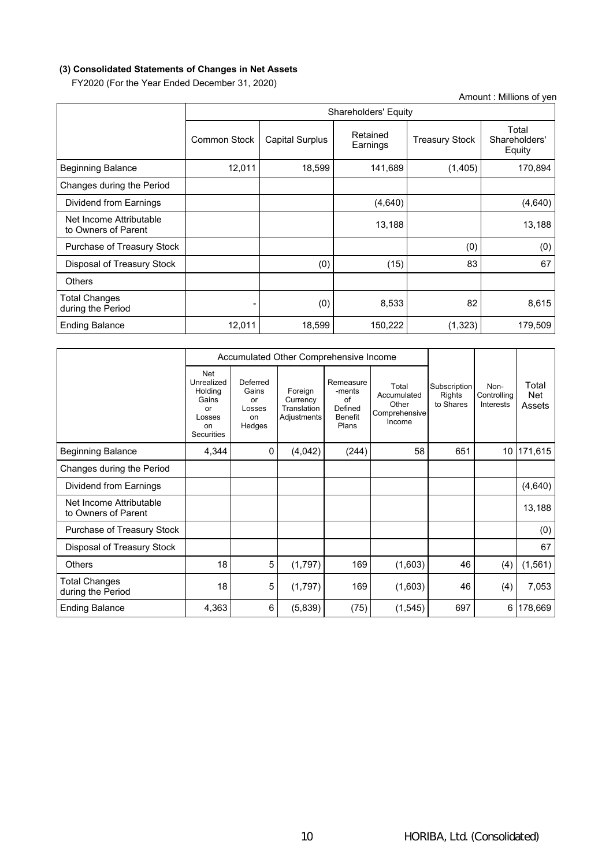# **(3) Consolidated Statements of Changes in Net Assets**

FY2020 (For the Year Ended December 31, 2020)

| Amount: Millions of yen                        |                     |                        |                      |                       |                                  |  |  |  |  |  |
|------------------------------------------------|---------------------|------------------------|----------------------|-----------------------|----------------------------------|--|--|--|--|--|
|                                                |                     |                        | Shareholders' Equity |                       |                                  |  |  |  |  |  |
|                                                | <b>Common Stock</b> | <b>Capital Surplus</b> | Retained<br>Earnings | <b>Treasury Stock</b> | Total<br>Shareholders'<br>Equity |  |  |  |  |  |
| <b>Beginning Balance</b>                       | 12,011              | 18,599                 | 141,689              | (1,405)               | 170,894                          |  |  |  |  |  |
| Changes during the Period                      |                     |                        |                      |                       |                                  |  |  |  |  |  |
| Dividend from Earnings                         |                     |                        | (4,640)              |                       | (4,640)                          |  |  |  |  |  |
| Net Income Attributable<br>to Owners of Parent |                     |                        | 13,188               |                       | 13,188                           |  |  |  |  |  |
| Purchase of Treasury Stock                     |                     |                        |                      | (0)                   | (0)                              |  |  |  |  |  |
| Disposal of Treasury Stock                     |                     | (0)                    | (15)                 | 83                    | 67                               |  |  |  |  |  |
| <b>Others</b>                                  |                     |                        |                      |                       |                                  |  |  |  |  |  |
| <b>Total Changes</b><br>during the Period      |                     | (0)                    | 8,533                | 82                    | 8,615                            |  |  |  |  |  |
| <b>Ending Balance</b>                          | 12,011              | 18,599                 | 150,222              | (1, 323)              | 179,509                          |  |  |  |  |  |

|                                                |                                                                           |                                                   | Accumulated Other Comprehensive Income            |                                                                 |                                                          |                                     |                                         |                        |
|------------------------------------------------|---------------------------------------------------------------------------|---------------------------------------------------|---------------------------------------------------|-----------------------------------------------------------------|----------------------------------------------------------|-------------------------------------|-----------------------------------------|------------------------|
|                                                | Net<br>Unrealized<br>Holding<br>Gains<br>or<br>Losses<br>on<br>Securities | Deferred<br>Gains<br>or<br>Losses<br>on<br>Hedges | Foreign<br>Currency<br>Translation<br>Adjustments | Remeasure<br>-ments<br>of<br>Defined<br><b>Benefit</b><br>Plans | Total<br>Accumulated<br>Other<br>Comprehensive<br>Income | Subscription<br>Rights<br>to Shares | Non-<br>Controlling<br><b>Interests</b> | Total<br>Net<br>Assets |
| <b>Beginning Balance</b>                       | 4,344                                                                     | 0                                                 | (4,042)                                           | (244)                                                           | 58                                                       | 651                                 |                                         | 10 171,615             |
| Changes during the Period                      |                                                                           |                                                   |                                                   |                                                                 |                                                          |                                     |                                         |                        |
| Dividend from Earnings                         |                                                                           |                                                   |                                                   |                                                                 |                                                          |                                     |                                         | (4,640)                |
| Net Income Attributable<br>to Owners of Parent |                                                                           |                                                   |                                                   |                                                                 |                                                          |                                     |                                         | 13,188                 |
| Purchase of Treasury Stock                     |                                                                           |                                                   |                                                   |                                                                 |                                                          |                                     |                                         | (0)                    |
| Disposal of Treasury Stock                     |                                                                           |                                                   |                                                   |                                                                 |                                                          |                                     |                                         | 67                     |
| <b>Others</b>                                  | 18                                                                        | 5                                                 | (1,797)                                           | 169                                                             | (1,603)                                                  | 46                                  | (4)                                     | (1, 561)               |
| Total Changes<br>during the Period             | 18                                                                        | 5                                                 | (1,797)                                           | 169                                                             | (1,603)                                                  | 46                                  | (4)                                     | 7,053                  |
| <b>Ending Balance</b>                          | 4,363                                                                     | 6                                                 | (5,839)                                           | (75)                                                            | (1, 545)                                                 | 697                                 |                                         | 6 178,669              |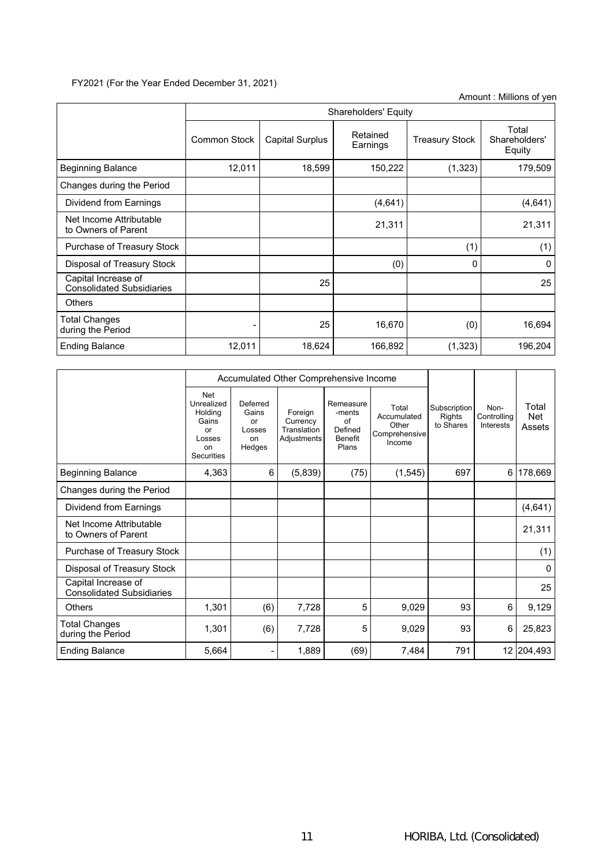# FY2021 (For the Year Ended December 31, 2021)

|                                                         |                     | Shareholders' Equity   |                      |                       |                                  |  |  |  |  |  |
|---------------------------------------------------------|---------------------|------------------------|----------------------|-----------------------|----------------------------------|--|--|--|--|--|
|                                                         | <b>Common Stock</b> | <b>Capital Surplus</b> | Retained<br>Earnings | <b>Treasury Stock</b> | Total<br>Shareholders'<br>Equity |  |  |  |  |  |
| <b>Beginning Balance</b>                                | 12,011              | 18,599                 | 150,222              | (1, 323)              | 179,509                          |  |  |  |  |  |
| Changes during the Period                               |                     |                        |                      |                       |                                  |  |  |  |  |  |
| Dividend from Earnings                                  |                     |                        | (4,641)              |                       | (4,641)                          |  |  |  |  |  |
| Net Income Attributable<br>to Owners of Parent          |                     |                        | 21,311               |                       | 21,311                           |  |  |  |  |  |
| Purchase of Treasury Stock                              |                     |                        |                      | (1)                   | (1)                              |  |  |  |  |  |
| Disposal of Treasury Stock                              |                     |                        | (0)                  | 0                     | 0                                |  |  |  |  |  |
| Capital Increase of<br><b>Consolidated Subsidiaries</b> |                     | 25                     |                      |                       | 25                               |  |  |  |  |  |
| <b>Others</b>                                           |                     |                        |                      |                       |                                  |  |  |  |  |  |
| Total Changes<br>during the Period                      |                     | 25                     | 16,670               | (0)                   | 16,694                           |  |  |  |  |  |
| <b>Ending Balance</b>                                   | 12,011              | 18,624                 | 166,892              | (1, 323)              | 196,204                          |  |  |  |  |  |

|                                                         |                                                                                  |                                                   | Accumulated Other Comprehensive Income            |                                                                 |                                                          |                                            |                                         |                               |
|---------------------------------------------------------|----------------------------------------------------------------------------------|---------------------------------------------------|---------------------------------------------------|-----------------------------------------------------------------|----------------------------------------------------------|--------------------------------------------|-----------------------------------------|-------------------------------|
|                                                         | Net<br>Unrealized<br>Holding<br>Gains<br>or<br>Losses<br>on<br><b>Securities</b> | Deferred<br>Gains<br>or<br>Losses<br>on<br>Hedges | Foreign<br>Currency<br>Translation<br>Adjustments | Remeasure<br>-ments<br>of<br>Defined<br><b>Benefit</b><br>Plans | Total<br>Accumulated<br>Other<br>Comprehensive<br>Income | Subscription<br><b>Rights</b><br>to Shares | Non-<br>Controlling<br><b>Interests</b> | Total<br><b>Net</b><br>Assets |
| <b>Beginning Balance</b>                                | 4,363                                                                            | 6                                                 | (5,839)                                           | (75)                                                            | (1, 545)                                                 | 697                                        |                                         | 6 178,669                     |
| Changes during the Period                               |                                                                                  |                                                   |                                                   |                                                                 |                                                          |                                            |                                         |                               |
| Dividend from Earnings                                  |                                                                                  |                                                   |                                                   |                                                                 |                                                          |                                            |                                         | (4,641)                       |
| Net Income Attributable<br>to Owners of Parent          |                                                                                  |                                                   |                                                   |                                                                 |                                                          |                                            |                                         | 21,311                        |
| Purchase of Treasury Stock                              |                                                                                  |                                                   |                                                   |                                                                 |                                                          |                                            |                                         | (1)                           |
| Disposal of Treasury Stock                              |                                                                                  |                                                   |                                                   |                                                                 |                                                          |                                            |                                         | $\Omega$                      |
| Capital Increase of<br><b>Consolidated Subsidiaries</b> |                                                                                  |                                                   |                                                   |                                                                 |                                                          |                                            |                                         | 25                            |
| Others                                                  | 1,301                                                                            | (6)                                               | 7,728                                             | 5                                                               | 9,029                                                    | 93                                         | 6                                       | 9,129                         |
| Total Changes<br>during the Period                      | 1,301                                                                            | (6)                                               | 7,728                                             | 5                                                               | 9,029                                                    | 93                                         | 6                                       | 25,823                        |
| <b>Ending Balance</b>                                   | 5,664                                                                            | $\blacksquare$                                    | 1,889                                             | (69)                                                            | 7,484                                                    | 791                                        |                                         | 12 204,493                    |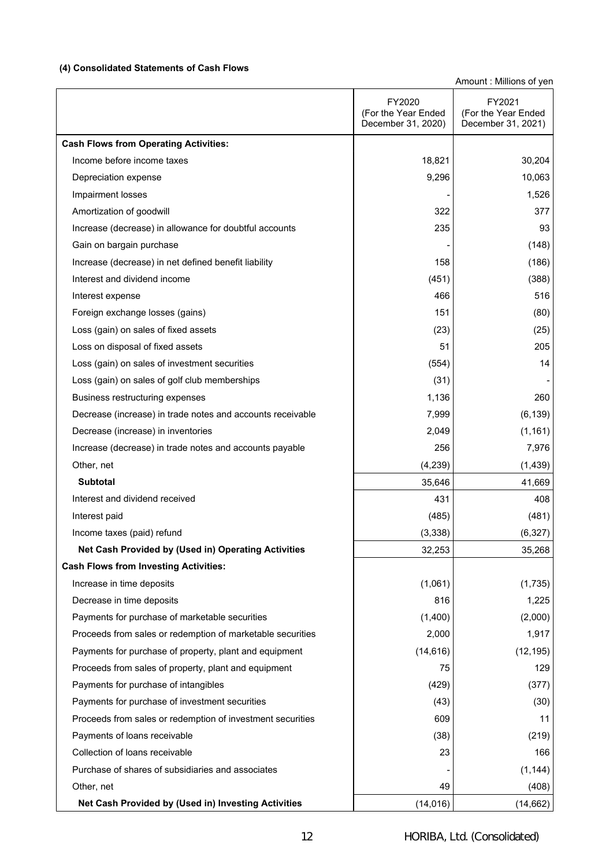# **(4) Consolidated Statements of Cash Flows**

 $\overline{1}$ 

|                                                            | FY2020<br>(For the Year Ended<br>December 31, 2020) | FY2021<br>(For the Year Ended<br>December 31, 2021) |
|------------------------------------------------------------|-----------------------------------------------------|-----------------------------------------------------|
| <b>Cash Flows from Operating Activities:</b>               |                                                     |                                                     |
| Income before income taxes                                 | 18,821                                              | 30,204                                              |
| Depreciation expense                                       | 9,296                                               | 10,063                                              |
| Impairment losses                                          |                                                     | 1,526                                               |
| Amortization of goodwill                                   | 322                                                 | 377                                                 |
| Increase (decrease) in allowance for doubtful accounts     | 235                                                 | 93                                                  |
| Gain on bargain purchase                                   |                                                     | (148)                                               |
| Increase (decrease) in net defined benefit liability       | 158                                                 | (186)                                               |
| Interest and dividend income                               | (451)                                               | (388)                                               |
| Interest expense                                           | 466                                                 | 516                                                 |
| Foreign exchange losses (gains)                            | 151                                                 | (80)                                                |
| Loss (gain) on sales of fixed assets                       | (23)                                                | (25)                                                |
| Loss on disposal of fixed assets                           | 51                                                  | 205                                                 |
| Loss (gain) on sales of investment securities              | (554)                                               | 14                                                  |
| Loss (gain) on sales of golf club memberships              | (31)                                                |                                                     |
| Business restructuring expenses                            | 1,136                                               | 260                                                 |
| Decrease (increase) in trade notes and accounts receivable | 7,999                                               | (6, 139)                                            |
| Decrease (increase) in inventories                         | 2,049                                               | (1, 161)                                            |
| Increase (decrease) in trade notes and accounts payable    | 256                                                 | 7,976                                               |
| Other, net                                                 | (4,239)                                             | (1, 439)                                            |
| <b>Subtotal</b>                                            | 35,646                                              | 41,669                                              |
| Interest and dividend received                             | 431                                                 | 408                                                 |
| Interest paid                                              | (485)                                               | (481)                                               |
| Income taxes (paid) refund                                 | (3,338)                                             | (6, 327)                                            |
| Net Cash Provided by (Used in) Operating Activities        | 32,253                                              | 35,268                                              |
| <b>Cash Flows from Investing Activities:</b>               |                                                     |                                                     |
| Increase in time deposits                                  | (1,061)                                             | (1,735)                                             |
| Decrease in time deposits                                  | 816                                                 | 1,225                                               |
| Payments for purchase of marketable securities             | (1,400)                                             | (2,000)                                             |
| Proceeds from sales or redemption of marketable securities | 2,000                                               | 1,917                                               |
| Payments for purchase of property, plant and equipment     | (14, 616)                                           | (12, 195)                                           |
| Proceeds from sales of property, plant and equipment       | 75                                                  | 129                                                 |
| Payments for purchase of intangibles                       | (429)                                               | (377)                                               |
| Payments for purchase of investment securities             | (43)                                                | (30)                                                |
| Proceeds from sales or redemption of investment securities | 609                                                 | 11                                                  |
| Payments of loans receivable                               | (38)                                                | (219)                                               |
| Collection of loans receivable                             | 23                                                  | 166                                                 |
| Purchase of shares of subsidiaries and associates          |                                                     | (1, 144)                                            |
| Other, net                                                 | 49                                                  | (408)                                               |
| Net Cash Provided by (Used in) Investing Activities        | (14, 016)                                           | (14, 662)                                           |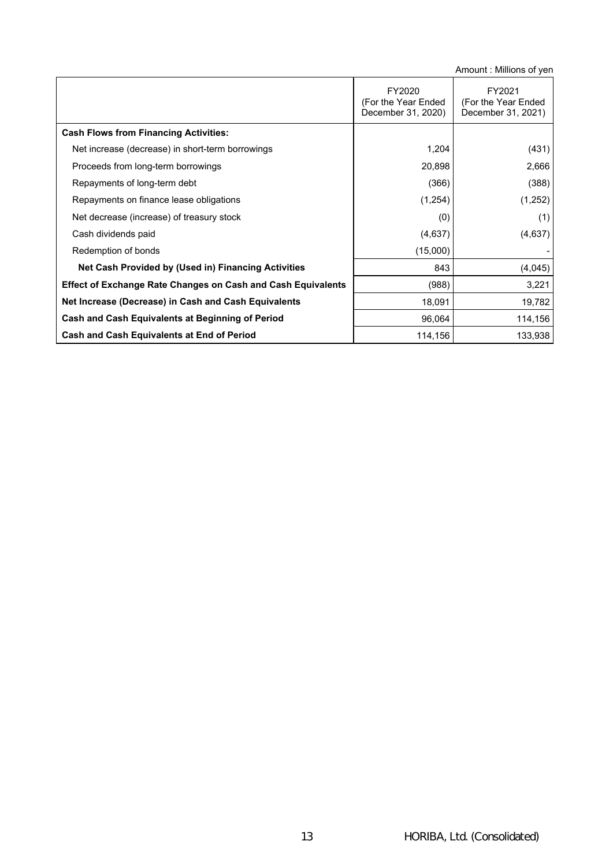|                                                                     | FY2020<br>(For the Year Ended<br>December 31, 2020) | FY2021<br>(For the Year Ended<br>December 31, 2021) |
|---------------------------------------------------------------------|-----------------------------------------------------|-----------------------------------------------------|
| <b>Cash Flows from Financing Activities:</b>                        |                                                     |                                                     |
| Net increase (decrease) in short-term borrowings                    | 1,204                                               | (431)                                               |
| Proceeds from long-term borrowings                                  | 20,898                                              | 2,666                                               |
| Repayments of long-term debt                                        | (366)                                               | (388)                                               |
| Repayments on finance lease obligations                             | (1,254)                                             | (1,252)                                             |
| Net decrease (increase) of treasury stock                           | (0)                                                 | (1)                                                 |
| Cash dividends paid                                                 | (4,637)                                             | (4,637)                                             |
| Redemption of bonds                                                 | (15,000)                                            |                                                     |
| Net Cash Provided by (Used in) Financing Activities                 | 843                                                 | (4,045)                                             |
| <b>Effect of Exchange Rate Changes on Cash and Cash Equivalents</b> | (988)                                               | 3,221                                               |
| Net Increase (Decrease) in Cash and Cash Equivalents                | 18,091                                              | 19,782                                              |
| Cash and Cash Equivalents at Beginning of Period                    | 96,064                                              | 114,156                                             |
| Cash and Cash Equivalents at End of Period                          | 114,156                                             | 133,938                                             |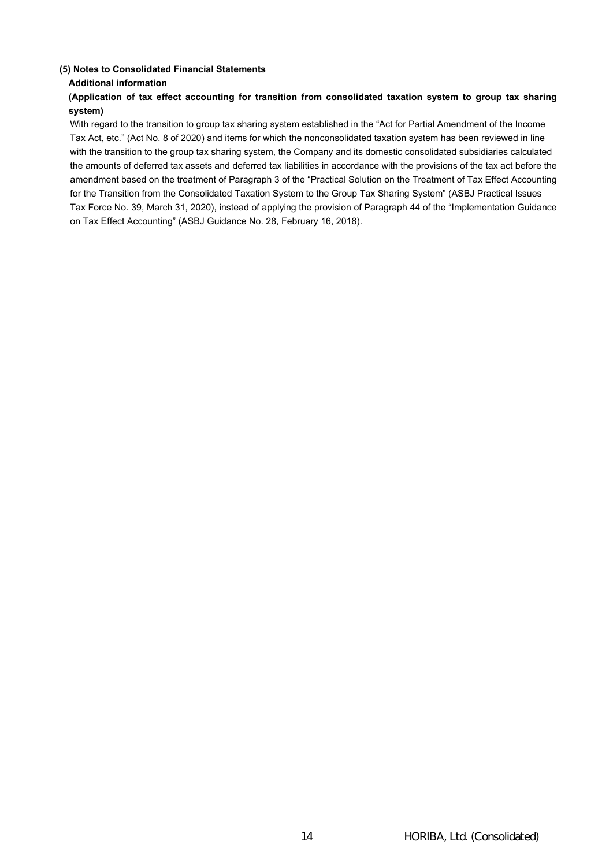## **(5) Notes to Consolidated Financial Statements**

## **Additional information**

# **(Application of tax effect accounting for transition from consolidated taxation system to group tax sharing system)**

With regard to the transition to group tax sharing system established in the "Act for Partial Amendment of the Income Tax Act, etc." (Act No. 8 of 2020) and items for which the nonconsolidated taxation system has been reviewed in line with the transition to the group tax sharing system, the Company and its domestic consolidated subsidiaries calculated the amounts of deferred tax assets and deferred tax liabilities in accordance with the provisions of the tax act before the amendment based on the treatment of Paragraph 3 of the "Practical Solution on the Treatment of Tax Effect Accounting for the Transition from the Consolidated Taxation System to the Group Tax Sharing System" (ASBJ Practical Issues Tax Force No. 39, March 31, 2020), instead of applying the provision of Paragraph 44 of the "Implementation Guidance on Tax Effect Accounting" (ASBJ Guidance No. 28, February 16, 2018).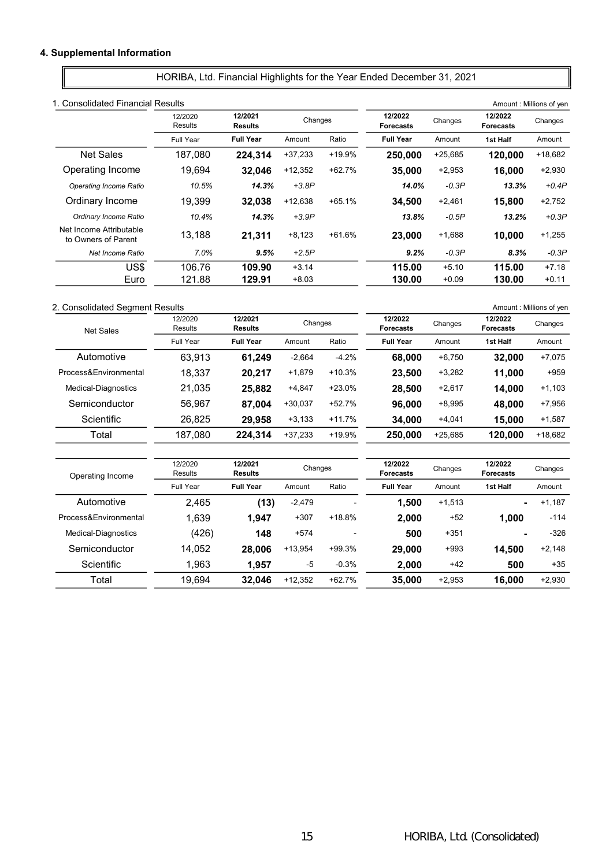# 4. Supplemental Information

HORIBA, Ltd. Financial Highlights for the Year Ended December 31, 2021

|                                                | 1. Consolidated Financial Results |                           |           |          |                             |           |                             | Amount: Millions of yen |
|------------------------------------------------|-----------------------------------|---------------------------|-----------|----------|-----------------------------|-----------|-----------------------------|-------------------------|
|                                                | 12/2020<br>Results                | 12/2021<br><b>Results</b> | Changes   |          | 12/2022<br><b>Forecasts</b> | Changes   | 12/2022<br><b>Forecasts</b> | Changes                 |
|                                                | Full Year                         | <b>Full Year</b>          | Amount    | Ratio    | <b>Full Year</b>            | Amount    | 1st Half                    | Amount                  |
| <b>Net Sales</b>                               | 187,080                           | 224.314                   | $+37,233$ | +19.9%   | 250,000                     | $+25,685$ | 120,000                     | $+18,682$               |
| Operating Income                               | 19.694                            | 32.046                    | $+12,352$ | $+62.7%$ | 35,000                      | $+2,953$  | 16.000                      | $+2,930$                |
| Operating Income Ratio                         | 10.5%                             | 14.3%                     | $+3.8P$   |          | 14.0%                       | $-0.3P$   | 13.3%                       | $+0.4P$                 |
| Ordinary Income                                | 19.399                            | 32.038                    | +12,638   | $+65.1%$ | 34.500                      | $+2,461$  | 15,800                      | $+2,752$                |
| Ordinary Income Ratio                          | 10.4%                             | 14.3%                     | $+3.9P$   |          | 13.8%                       | $-0.5P$   | 13.2%                       | $+0.3P$                 |
| Net Income Attributable<br>to Owners of Parent | 13,188                            | 21,311                    | $+8,123$  | $+61.6%$ | 23,000                      | $+1,688$  | 10,000                      | $+1,255$                |
| Net Income Ratio                               | 7.0%                              | 9.5%                      | $+2.5P$   |          | 9.2%                        | $-0.3P$   | 8.3%                        | $-0.3P$                 |
| US\$                                           | 106.76                            | 109.90                    | $+3.14$   |          | 115.00                      | $+5.10$   | 115.00                      | $+7.18$                 |
| Euro                                           | 121.88                            | 129.91                    | $+8.03$   |          | 130.00                      | $+0.09$   | 130.00                      | $+0.11$                 |

# 2. Consolidated Segment Results **Amount : Millions of yen**

| <b>Net Sales</b>      | 12/2020<br><b>Results</b> | 12/2021<br><b>Results</b> | Changes   |          | 12/2022<br><b>Forecasts</b> | Changes   | 12/2022<br><b>Forecasts</b> | Changes   |
|-----------------------|---------------------------|---------------------------|-----------|----------|-----------------------------|-----------|-----------------------------|-----------|
|                       | <b>Full Year</b>          | <b>Full Year</b>          | Amount    | Ratio    | <b>Full Year</b>            | Amount    | 1st Half                    | Amount    |
| Automotive            | 63,913                    | 61,249                    | $-2,664$  | $-4.2%$  | 68,000                      | $+6,750$  | 32,000                      | $+7,075$  |
| Process&Environmental | 18,337                    | 20,217                    | $+1,879$  | $+10.3%$ | 23,500                      | $+3,282$  | 11,000                      | $+959$    |
| Medical-Diagnostics   | 21,035                    | 25,882                    | $+4,847$  | $+23.0%$ | 28,500                      | $+2,617$  | 14,000                      | $+1,103$  |
| Semiconductor         | 56,967                    | 87,004                    | $+30,037$ | +52.7%   | 96,000                      | $+8,995$  | 48,000                      | $+7,956$  |
| Scientific            | 26,825                    | 29,958                    | $+3,133$  | $+11.7%$ | 34,000                      | $+4,041$  | 15,000                      | $+1,587$  |
| Total                 | 187,080                   | 224,314                   | $+37,233$ | +19.9%   | 250,000                     | $+25,685$ | 120,000                     | $+18,682$ |
|                       |                           |                           |           |          |                             |           |                             |           |
| Operating Income      | 12/2020<br><b>Results</b> | 12/2021<br><b>Results</b> | Changes   |          | 12/2022<br><b>Forecasts</b> | Changes   | 12/2022<br><b>Forecasts</b> | Changes   |
|                       | Full Year                 | <b>Full Year</b>          | Amount    | Ratio    | <b>Full Year</b>            | Amount    | 1st Half                    | Amount    |
| Automotive            | 2,465                     | (13)                      | $-2,479$  |          | 1,500                       | $+1,513$  | $\blacksquare$              | $+1,187$  |
| Process&Environmental | 1,639                     | 1,947                     | $+307$    | $+18.8%$ | 2,000                       | $+52$     | 1,000                       | $-114$    |
| Medical-Diagnostics   | (426)                     | 148                       | $+574$    |          | 500                         | $+351$    |                             | $-326$    |
| Semiconductor         | 14,052                    | 28,006                    | $+13,954$ | +99.3%   | 29,000                      | $+993$    | 14,500                      | $+2,148$  |
| Scientific            | 1,963                     | 1,957                     | -5        | $-0.3%$  | 2,000                       | $+42$     | 500                         | $+35$     |
| Total                 | 19,694                    | 32,046                    | $+12,352$ | $+62.7%$ | 35,000                      | $+2,953$  | 16,000                      | $+2,930$  |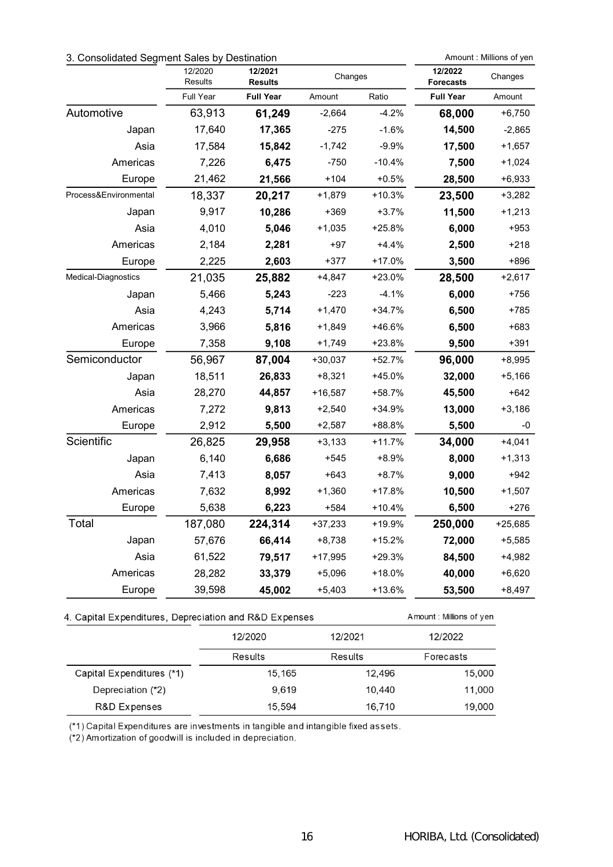# 3. Consolidated Segment Sales by Destination **Amount : Millions of yen**

|                       | 12/2020<br>Results | 12/2021<br><b>Results</b> | Changes   |          | 12/2022<br><b>Forecasts</b> | Changes   |
|-----------------------|--------------------|---------------------------|-----------|----------|-----------------------------|-----------|
|                       | Full Year          | <b>Full Year</b>          | Amount    | Ratio    | <b>Full Year</b>            | Amount    |
| Automotive            | 63,913             | 61,249                    | $-2,664$  | $-4.2%$  | 68,000                      | $+6,750$  |
| Japan                 | 17,640             | 17,365                    | $-275$    | $-1.6%$  | 14,500                      | $-2,865$  |
| Asia                  | 17,584             | 15,842                    | $-1,742$  | $-9.9%$  | 17,500                      | $+1,657$  |
| Americas              | 7,226              | 6,475                     | $-750$    | $-10.4%$ | 7,500                       | $+1,024$  |
| Europe                | 21,462             | 21,566                    | $+104$    | $+0.5%$  | 28,500                      | $+6,933$  |
| Process&Environmental | 18,337             | 20,217                    | $+1,879$  | $+10.3%$ | 23,500                      | $+3,282$  |
| Japan                 | 9,917              | 10,286                    | $+369$    | $+3.7%$  | 11,500                      | $+1,213$  |
| Asia                  | 4,010              | 5,046                     | $+1,035$  | $+25.8%$ | 6,000                       | $+953$    |
| Americas              | 2,184              | 2,281                     | $+97$     | $+4.4%$  | 2,500                       | +218      |
| Europe                | 2,225              | 2,603                     | $+377$    | +17.0%   | 3,500                       | +896      |
| Medical-Diagnostics   | 21,035             | 25,882                    | $+4,847$  | $+23.0%$ | 28,500                      | $+2,617$  |
| Japan                 | 5,466              | 5,243                     | $-223$    | $-4.1%$  | 6,000                       | +756      |
| Asia                  | 4,243              | 5,714                     | $+1,470$  | +34.7%   | 6,500                       | $+785$    |
| Americas              | 3,966              | 5,816                     | $+1,849$  | +46.6%   | 6,500                       | +683      |
| Europe                | 7,358              | 9,108                     | $+1,749$  | $+23.8%$ | 9,500                       | $+391$    |
| Semiconductor         | 56,967             | 87,004                    | $+30,037$ | +52.7%   | 96,000                      | $+8,995$  |
| Japan                 | 18,511             | 26,833                    | $+8,321$  | $+45.0%$ | 32,000                      | $+5,166$  |
| Asia                  | 28,270             | 44,857                    | $+16,587$ | +58.7%   | 45,500                      | $+642$    |
| Americas              | 7,272              | 9,813                     | $+2,540$  | +34.9%   | 13,000                      | $+3,186$  |
| Europe                | 2,912              | 5,500                     | $+2,587$  | +88.8%   | 5,500                       | -0        |
| Scientific            | 26,825             | 29,958                    | $+3,133$  | $+11.7%$ | 34,000                      | $+4,041$  |
| Japan                 | 6,140              | 6,686                     | $+545$    | +8.9%    | 8,000                       | $+1,313$  |
| Asia                  | 7,413              | 8,057                     | $+643$    | $+8.7%$  | 9,000                       | $+942$    |
| Americas              | 7,632              | 8,992                     | $+1,360$  | $+17.8%$ | 10,500                      | $+1,507$  |
| Europe                | 5,638              | 6,223                     | $+584$    | $+10.4%$ | 6,500                       | +276      |
| Total                 | 187,080            | 224,314                   | $+37,233$ | +19.9%   | 250,000                     | $+25,685$ |
| Japan                 | 57,676             | 66,414                    | $+8,738$  | $+15.2%$ | 72,000                      | $+5,585$  |
| Asia                  | 61,522             | 79,517                    | $+17,995$ | $+29.3%$ | 84,500                      | $+4,982$  |
| Americas              | 28,282             | 33,379                    | $+5,096$  | $+18.0%$ | 40,000                      | $+6,620$  |
| Europe                | 39,598             | 45,002                    | $+5,403$  | +13.6%   | 53,500                      | +8,497    |

# 4. Capital Expenditures, Depreciation and R&D Expenses

|                           | 12/2020 | 12/2021 | 12/2022   |  |
|---------------------------|---------|---------|-----------|--|
|                           | Results | Results | Forecasts |  |
| Capital Expenditures (*1) | 15,165  | 12,496  | 15,000    |  |
| Depreciation (*2)         | 9.619   | 10.440  | 11,000    |  |
| R&D Expenses              | 15,594  | 16,710  | 19,000    |  |

(\*1) Capital Expenditures are investments in tangible and intangible fixed assets.

(\*2) Amortization of goodwill is included in depreciation.